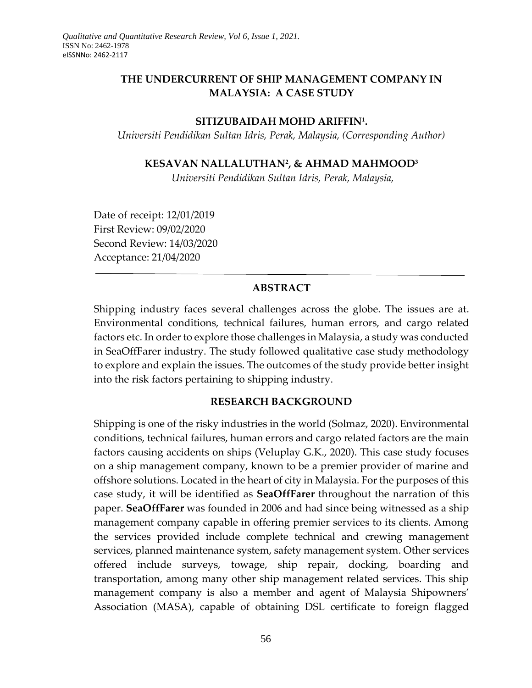## **THE UNDERCURRENT OF SHIP MANAGEMENT COMPANY IN MALAYSIA: A CASE STUDY**

#### **SITIZUBAIDAH MOHD ARIFFIN<sup>1</sup> .**

*Universiti Pendidikan Sultan Idris, Perak, Malaysia, (Corresponding Author)*

### **KESAVAN NALLALUTHAN<sup>2</sup> , & AHMAD MAHMOOD<sup>3</sup>**

*Universiti Pendidikan Sultan Idris, Perak, Malaysia,* 

Date of receipt: 12/01/2019 First Review: 09/02/2020 Second Review: 14/03/2020 Acceptance: 21/04/2020

#### **ABSTRACT**

Shipping industry faces several challenges across the globe. The issues are at. Environmental conditions, technical failures, human errors, and cargo related factors etc. In order to explore those challenges in Malaysia, a study was conducted in SeaOffFarer industry. The study followed qualitative case study methodology to explore and explain the issues. The outcomes of the study provide better insight into the risk factors pertaining to shipping industry.

#### **RESEARCH BACKGROUND**

Shipping is one of the risky industries in the world (Solmaz, 2020). Environmental conditions, technical failures, human errors and cargo related factors are the main factors causing accidents on ships (Veluplay G.K., 2020). This case study focuses on a ship management company, known to be a premier provider of marine and offshore solutions. Located in the heart of city in Malaysia. For the purposes of this case study, it will be identified as **SeaOffFarer** throughout the narration of this paper. **SeaOffFarer** was founded in 2006 and had since being witnessed as a ship management company capable in offering premier services to its clients. Among the services provided include complete technical and crewing management services, planned maintenance system, safety management system. Other services offered include surveys, towage, ship repair, docking, boarding and transportation, among many other ship management related services. This ship management company is also a member and agent of Malaysia Shipowners' Association (MASA), capable of obtaining DSL certificate to foreign flagged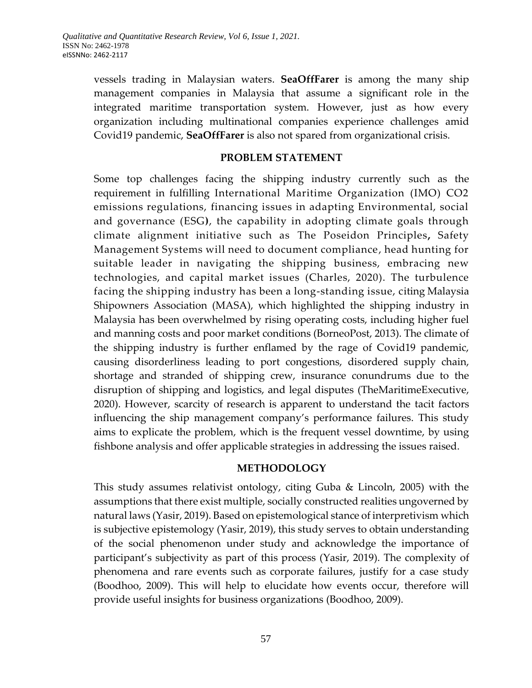vessels trading in Malaysian waters. **SeaOffFarer** is among the many ship management companies in Malaysia that assume a significant role in the integrated maritime transportation system. However, just as how every organization including multinational companies experience challenges amid Covid19 pandemic, **SeaOffFarer** is also not spared from organizational crisis.

#### **PROBLEM STATEMENT**

Some top challenges facing the shipping industry currently such as the requirement in fulfilling International Maritime Organization (IMO) CO2 emissions regulations, financing issues in adapting Environmental, social and governance (ESG**)**, the capability in adopting climate goals through climate alignment initiative such as The Poseidon Principles**,** Safety Management Systems will need to document compliance, head hunting for suitable leader in navigating the shipping business, embracing new technologies, and capital market issues (Charles, 2020). The turbulence facing the shipping industry has been a long-standing issue, citing Malaysia Shipowners Association (MASA), which highlighted the shipping industry in Malaysia has been overwhelmed by rising operating costs, including higher fuel and manning costs and poor market conditions (BorneoPost, 2013). The climate of the shipping industry is further enflamed by the rage of Covid19 pandemic, causing disorderliness leading to port congestions, disordered supply chain, shortage and stranded of shipping crew, insurance conundrums due to the disruption of shipping and logistics, and legal disputes (TheMaritimeExecutive, 2020). However, scarcity of research is apparent to understand the tacit factors influencing the ship management company's performance failures. This study aims to explicate the problem, which is the frequent vessel downtime, by using fishbone analysis and offer applicable strategies in addressing the issues raised.

#### **METHODOLOGY**

This study assumes relativist ontology, citing Guba & Lincoln, 2005) with the assumptions that there exist multiple, socially constructed realities ungoverned by natural laws (Yasir, 2019). Based on epistemological stance of interpretivism which is subjective epistemology (Yasir, 2019), this study serves to obtain understanding of the social phenomenon under study and acknowledge the importance of participant's subjectivity as part of this process (Yasir, 2019). The complexity of phenomena and rare events such as corporate failures, justify for a case study (Boodhoo, 2009). This will help to elucidate how events occur, therefore will provide useful insights for business organizations (Boodhoo, 2009).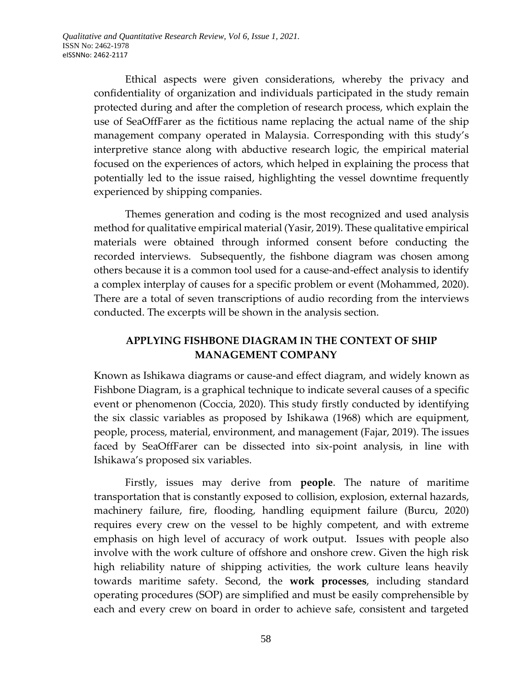Ethical aspects were given considerations, whereby the privacy and confidentiality of organization and individuals participated in the study remain protected during and after the completion of research process, which explain the use of SeaOffFarer as the fictitious name replacing the actual name of the ship management company operated in Malaysia. Corresponding with this study's interpretive stance along with abductive research logic, the empirical material focused on the experiences of actors, which helped in explaining the process that potentially led to the issue raised, highlighting the vessel downtime frequently experienced by shipping companies.

Themes generation and coding is the most recognized and used analysis method for qualitative empirical material (Yasir, 2019). These qualitative empirical materials were obtained through informed consent before conducting the recorded interviews. Subsequently, the fishbone diagram was chosen among others because it is a common tool used for a cause-and-effect analysis to identify a complex interplay of causes for a specific problem or event (Mohammed, 2020). There are a total of seven transcriptions of audio recording from the interviews conducted. The excerpts will be shown in the analysis section.

# **APPLYING FISHBONE DIAGRAM IN THE CONTEXT OF SHIP MANAGEMENT COMPANY**

Known as Ishikawa diagrams or cause-and effect diagram, and widely known as Fishbone Diagram, is a graphical technique to indicate several causes of a specific event or phenomenon (Coccia, 2020). This study firstly conducted by identifying the six classic variables as proposed by Ishikawa (1968) which are equipment, people, process, material, environment, and management (Fajar, 2019). The issues faced by SeaOffFarer can be dissected into six-point analysis, in line with Ishikawa's proposed six variables.

Firstly, issues may derive from **people**. The nature of maritime transportation that is constantly exposed to collision, explosion, external hazards, machinery failure, fire, flooding, handling equipment failure (Burcu, 2020) requires every crew on the vessel to be highly competent, and with extreme emphasis on high level of accuracy of work output. Issues with people also involve with the work culture of offshore and onshore crew. Given the high risk high reliability nature of shipping activities, the work culture leans heavily towards maritime safety. Second, the **work processes**, including standard operating procedures (SOP) are simplified and must be easily comprehensible by each and every crew on board in order to achieve safe, consistent and targeted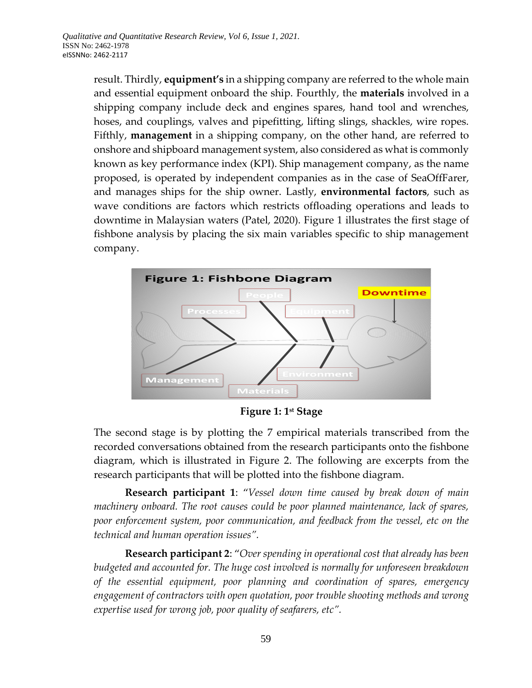result. Thirdly, **equipment's** in a shipping company are referred to the whole main and essential equipment onboard the ship. Fourthly, the **materials** involved in a shipping company include deck and engines spares, hand tool and wrenches, hoses, and couplings, valves and pipefitting, lifting slings, shackles, wire ropes. Fifthly, **management** in a shipping company, on the other hand, are referred to onshore and shipboard management system, also considered as what is commonly known as key performance index (KPI). Ship management company, as the name proposed, is operated by independent companies as in the case of SeaOffFarer, and manages ships for the ship owner. Lastly, **environmental factors**, such as wave conditions are factors which restricts offloading operations and leads to downtime in Malaysian waters (Patel, 2020). Figure 1 illustrates the first stage of fishbone analysis by placing the six main variables specific to ship management company.



**Figure 1: 1st Stage**

The second stage is by plotting the 7 empirical materials transcribed from the recorded conversations obtained from the research participants onto the fishbone diagram, which is illustrated in Figure 2. The following are excerpts from the research participants that will be plotted into the fishbone diagram.

**Research participant 1**: "*Vessel down time caused by break down of main machinery onboard. The root causes could be poor planned maintenance, lack of spares, poor enforcement system, poor communication, and feedback from the vessel, etc on the technical and human operation issues".* 

**Research participant 2**: "*Over spending in operational cost that already has been budgeted and accounted for. The huge cost involved is normally for unforeseen breakdown of the essential equipment, poor planning and coordination of spares, emergency engagement of contractors with open quotation, poor trouble shooting methods and wrong expertise used for wrong job, poor quality of seafarers, etc".*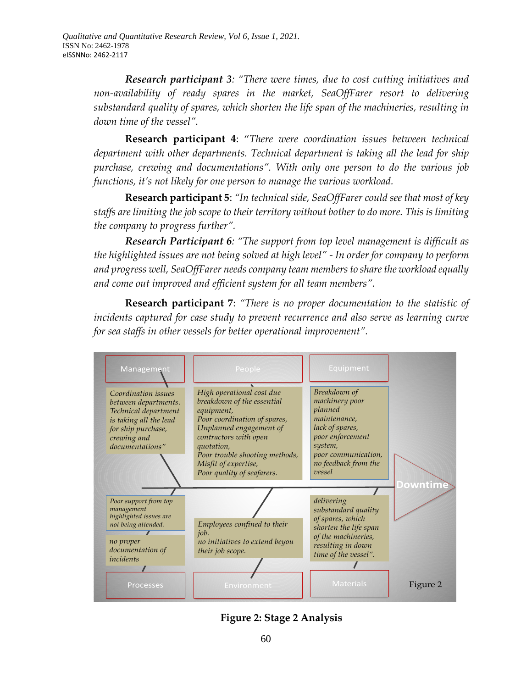*Research participant 3: "There were times, due to cost cutting initiatives and non-availability of ready spares in the market, SeaOffFarer resort to delivering substandard quality of spares, which shorten the life span of the machineries, resulting in down time of the vessel".* 

**Research participant 4**: "*There were coordination issues between technical department with other departments. Technical department is taking all the lead for ship purchase, crewing and documentations". With only one person to do the various job functions, it's not likely for one person to manage the various workload.* 

**Research participant 5**: *"In technical side, SeaOffFarer could see that most of key staffs are limiting the job scope to their territory without bother to do more. This is limiting the company to progress further".* 

*Research Participant 6: "The support from top level management is difficult as the highlighted issues are not being solved at high level" - In order for company to perform and progress well, SeaOffFarer needs company team members to share the workload equally and come out improved and efficient system for all team members".* 

**Research participant 7**: *"There is no proper documentation to the statistic of incidents captured for case study to prevent recurrence and also serve as learning curve for sea staffs in other vessels for better operational improvement".* 



**Figure 2: Stage 2 Analysis**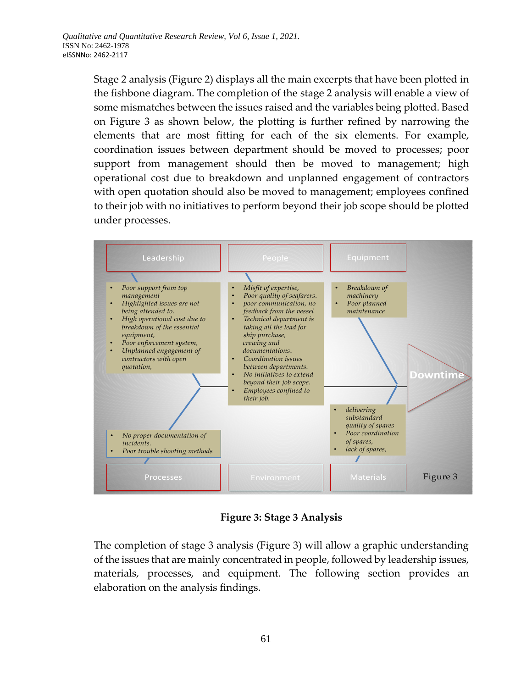Stage 2 analysis (Figure 2) displays all the main excerpts that have been plotted in the fishbone diagram. The completion of the stage 2 analysis will enable a view of some mismatches between the issues raised and the variables being plotted. Based on Figure 3 as shown below, the plotting is further refined by narrowing the elements that are most fitting for each of the six elements. For example, coordination issues between department should be moved to processes; poor support from management should then be moved to management; high operational cost due to breakdown and unplanned engagement of contractors with open quotation should also be moved to management; employees confined to their job with no initiatives to perform beyond their job scope should be plotted under processes.



**Figure 3: Stage 3 Analysis**

The completion of stage 3 analysis (Figure 3) will allow a graphic understanding of the issues that are mainly concentrated in people, followed by leadership issues, materials, processes, and equipment. The following section provides an elaboration on the analysis findings.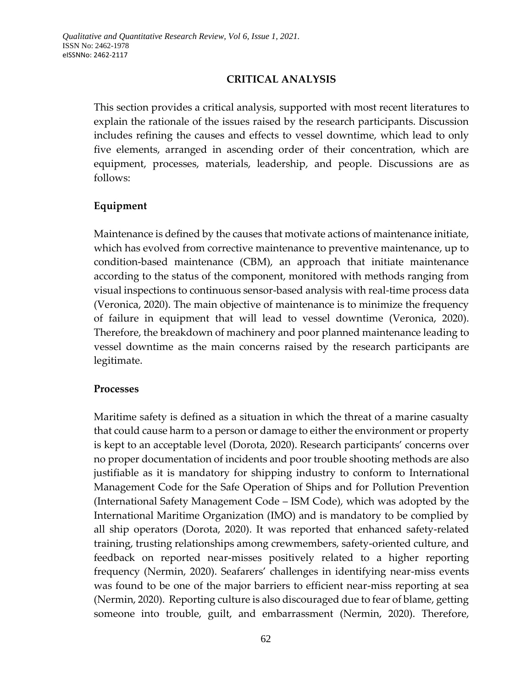### **CRITICAL ANALYSIS**

This section provides a critical analysis, supported with most recent literatures to explain the rationale of the issues raised by the research participants. Discussion includes refining the causes and effects to vessel downtime, which lead to only five elements, arranged in ascending order of their concentration, which are equipment, processes, materials, leadership, and people. Discussions are as follows:

### **Equipment**

Maintenance is defined by the causes that motivate actions of maintenance initiate, which has evolved from corrective maintenance to preventive maintenance, up to condition-based maintenance (CBM), an approach that initiate maintenance according to the status of the component, monitored with methods ranging from visual inspections to continuous sensor-based analysis with real-time process data (Veronica, 2020). The main objective of maintenance is to minimize the frequency of failure in equipment that will lead to vessel downtime (Veronica, 2020). Therefore, the breakdown of machinery and poor planned maintenance leading to vessel downtime as the main concerns raised by the research participants are legitimate.

#### **Processes**

Maritime safety is defined as a situation in which the threat of a marine casualty that could cause harm to a person or damage to either the environment or property is kept to an acceptable level (Dorota, 2020). Research participants' concerns over no proper documentation of incidents and poor trouble shooting methods are also justifiable as it is mandatory for shipping industry to conform to International Management Code for the Safe Operation of Ships and for Pollution Prevention (International Safety Management Code – ISM Code), which was adopted by the International Maritime Organization (IMO) and is mandatory to be complied by all ship operators (Dorota, 2020). It was reported that enhanced safety-related training, trusting relationships among crewmembers, safety-oriented culture, and feedback on reported near-misses positively related to a higher reporting frequency (Nermin, 2020). Seafarers' challenges in identifying near-miss events was found to be one of the major barriers to efficient near-miss reporting at sea (Nermin, 2020). Reporting culture is also discouraged due to fear of blame, getting someone into trouble, guilt, and embarrassment (Nermin, 2020). Therefore,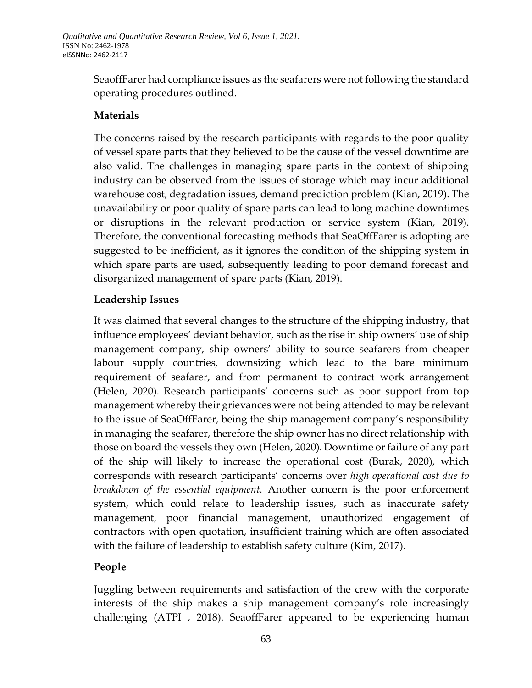SeaoffFarer had compliance issues as the seafarers were not following the standard operating procedures outlined.

# **Materials**

The concerns raised by the research participants with regards to the poor quality of vessel spare parts that they believed to be the cause of the vessel downtime are also valid. The challenges in managing spare parts in the context of shipping industry can be observed from the issues of storage which may incur additional warehouse cost, degradation issues, demand prediction problem (Kian, 2019). The unavailability or poor quality of spare parts can lead to long machine downtimes or disruptions in the relevant production or service system (Kian, 2019). Therefore, the conventional forecasting methods that SeaOffFarer is adopting are suggested to be inefficient, as it ignores the condition of the shipping system in which spare parts are used, subsequently leading to poor demand forecast and disorganized management of spare parts (Kian, 2019).

### **Leadership Issues**

It was claimed that several changes to the structure of the shipping industry, that influence employees' deviant behavior, such as the rise in ship owners' use of ship management company, ship owners' ability to source seafarers from cheaper labour supply countries, downsizing which lead to the bare minimum requirement of seafarer, and from permanent to contract work arrangement (Helen, 2020). Research participants' concerns such as poor support from top management whereby their grievances were not being attended to may be relevant to the issue of SeaOffFarer, being the ship management company's responsibility in managing the seafarer, therefore the ship owner has no direct relationship with those on board the vessels they own (Helen, 2020). Downtime or failure of any part of the ship will likely to increase the operational cost (Burak, 2020), which corresponds with research participants' concerns over *high operational cost due to breakdown of the essential equipment.* Another concern is the poor enforcement system, which could relate to leadership issues, such as inaccurate safety management, poor financial management, unauthorized engagement of contractors with open quotation, insufficient training which are often associated with the failure of leadership to establish safety culture (Kim, 2017).

# **People**

Juggling between requirements and satisfaction of the crew with the corporate interests of the ship makes a ship management company's role increasingly challenging (ATPI , 2018). SeaoffFarer appeared to be experiencing human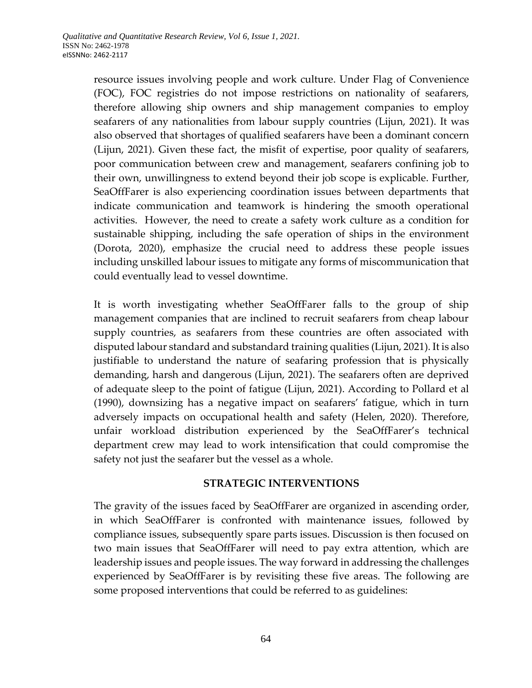resource issues involving people and work culture. Under Flag of Convenience (FOC), FOC registries do not impose restrictions on nationality of seafarers, therefore allowing ship owners and ship management companies to employ seafarers of any nationalities from labour supply countries (Lijun, 2021). It was also observed that shortages of qualified seafarers have been a dominant concern (Lijun, 2021). Given these fact, the misfit of expertise, poor quality of seafarers, poor communication between crew and management, seafarers confining job to their own, unwillingness to extend beyond their job scope is explicable. Further, SeaOffFarer is also experiencing coordination issues between departments that indicate communication and teamwork is hindering the smooth operational activities. However, the need to create a safety work culture as a condition for sustainable shipping, including the safe operation of ships in the environment (Dorota, 2020), emphasize the crucial need to address these people issues including unskilled labour issues to mitigate any forms of miscommunication that could eventually lead to vessel downtime.

It is worth investigating whether SeaOffFarer falls to the group of ship management companies that are inclined to recruit seafarers from cheap labour supply countries, as seafarers from these countries are often associated with disputed labour standard and substandard training qualities (Lijun, 2021). It is also justifiable to understand the nature of seafaring profession that is physically demanding, harsh and dangerous (Lijun, 2021). The seafarers often are deprived of adequate sleep to the point of fatigue (Lijun, 2021). According to Pollard et al (1990), downsizing has a negative impact on seafarers' fatigue, which in turn adversely impacts on occupational health and safety (Helen, 2020). Therefore, unfair workload distribution experienced by the SeaOffFarer's technical department crew may lead to work intensification that could compromise the safety not just the seafarer but the vessel as a whole.

### **STRATEGIC INTERVENTIONS**

The gravity of the issues faced by SeaOffFarer are organized in ascending order, in which SeaOffFarer is confronted with maintenance issues, followed by compliance issues, subsequently spare parts issues. Discussion is then focused on two main issues that SeaOffFarer will need to pay extra attention, which are leadership issues and people issues. The way forward in addressing the challenges experienced by SeaOffFarer is by revisiting these five areas. The following are some proposed interventions that could be referred to as guidelines: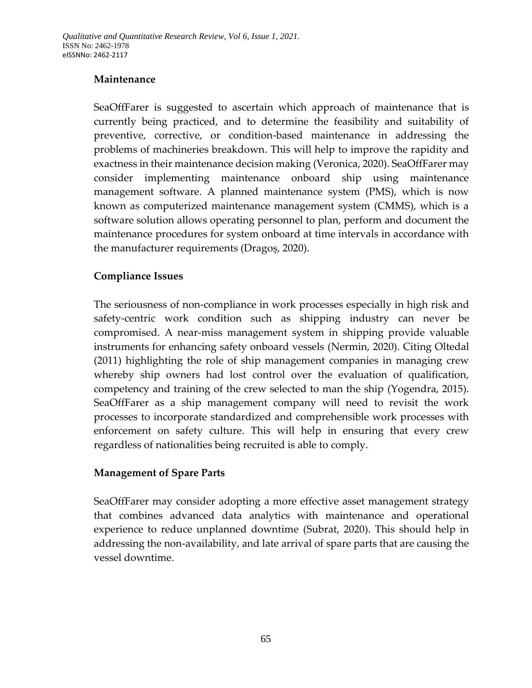# **Maintenance**

SeaOffFarer is suggested to ascertain which approach of maintenance that is currently being practiced, and to determine the feasibility and suitability of preventive, corrective, or condition-based maintenance in addressing the problems of machineries breakdown. This will help to improve the rapidity and exactness in their maintenance decision making (Veronica, 2020). SeaOffFarer may consider implementing maintenance onboard ship using maintenance management software. A planned maintenance system (PMS), which is now known as computerized maintenance management system (CMMS), which is a software solution allows operating personnel to plan, perform and document the maintenance procedures for system onboard at time intervals in accordance with the manufacturer requirements (Dragoș, 2020).

### **Compliance Issues**

The seriousness of non-compliance in work processes especially in high risk and safety-centric work condition such as shipping industry can never be compromised. A near-miss management system in shipping provide valuable instruments for enhancing safety onboard vessels (Nermin, 2020). Citing Oltedal (2011) highlighting the role of ship management companies in managing crew whereby ship owners had lost control over the evaluation of qualification, competency and training of the crew selected to man the ship (Yogendra, 2015). SeaOffFarer as a ship management company will need to revisit the work processes to incorporate standardized and comprehensible work processes with enforcement on safety culture. This will help in ensuring that every crew regardless of nationalities being recruited is able to comply.

### **Management of Spare Parts**

SeaOffFarer may consider adopting a more effective asset management strategy that combines advanced data analytics with maintenance and operational experience to reduce unplanned downtime (Subrat, 2020). This should help in addressing the non-availability, and late arrival of spare parts that are causing the vessel downtime.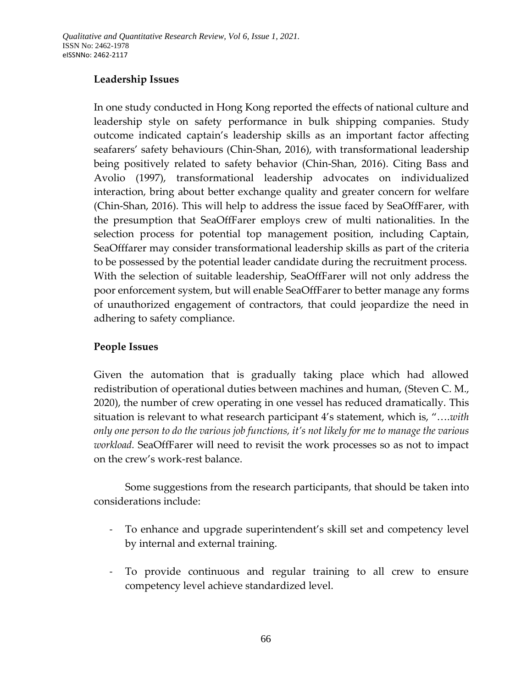## **Leadership Issues**

In one study conducted in Hong Kong reported the effects of national culture and leadership style on safety performance in bulk shipping companies. Study outcome indicated captain's leadership skills as an important factor affecting seafarers' safety behaviours (Chin-Shan, 2016), with transformational leadership being positively related to safety behavior (Chin-Shan, 2016). Citing Bass and Avolio (1997), transformational leadership advocates on individualized interaction, bring about better exchange quality and greater concern for welfare (Chin-Shan, 2016). This will help to address the issue faced by SeaOffFarer, with the presumption that SeaOffFarer employs crew of multi nationalities. In the selection process for potential top management position, including Captain, SeaOfffarer may consider transformational leadership skills as part of the criteria to be possessed by the potential leader candidate during the recruitment process. With the selection of suitable leadership, SeaOffFarer will not only address the poor enforcement system, but will enable SeaOffFarer to better manage any forms of unauthorized engagement of contractors, that could jeopardize the need in adhering to safety compliance.

### **People Issues**

Given the automation that is gradually taking place which had allowed redistribution of operational duties between machines and human, (Steven C. M., 2020), the number of crew operating in one vessel has reduced dramatically. This situation is relevant to what research participant 4's statement, which is, "….*with only one person to do the various job functions, it's not likely for me to manage the various workload.* SeaOffFarer will need to revisit the work processes so as not to impact on the crew's work-rest balance.

Some suggestions from the research participants, that should be taken into considerations include:

- To enhance and upgrade superintendent's skill set and competency level by internal and external training.
- To provide continuous and regular training to all crew to ensure competency level achieve standardized level.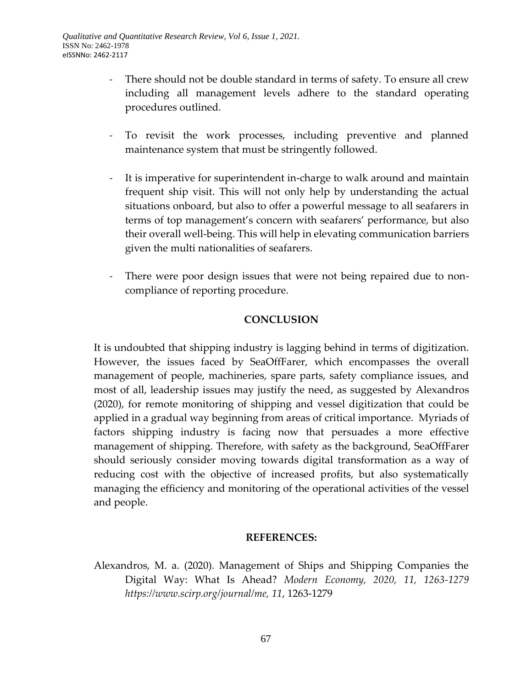- There should not be double standard in terms of safety. To ensure all crew including all management levels adhere to the standard operating procedures outlined.
- To revisit the work processes, including preventive and planned maintenance system that must be stringently followed.
- It is imperative for superintendent in-charge to walk around and maintain frequent ship visit. This will not only help by understanding the actual situations onboard, but also to offer a powerful message to all seafarers in terms of top management's concern with seafarers' performance, but also their overall well-being. This will help in elevating communication barriers given the multi nationalities of seafarers.
- There were poor design issues that were not being repaired due to noncompliance of reporting procedure.

## **CONCLUSION**

It is undoubted that shipping industry is lagging behind in terms of digitization. However, the issues faced by SeaOffFarer, which encompasses the overall management of people, machineries, spare parts, safety compliance issues, and most of all, leadership issues may justify the need, as suggested by Alexandros (2020), for remote monitoring of shipping and vessel digitization that could be applied in a gradual way beginning from areas of critical importance. Myriads of factors shipping industry is facing now that persuades a more effective management of shipping. Therefore, with safety as the background, SeaOffFarer should seriously consider moving towards digital transformation as a way of reducing cost with the objective of increased profits, but also systematically managing the efficiency and monitoring of the operational activities of the vessel and people.

#### **REFERENCES:**

Alexandros, M. a. (2020). Management of Ships and Shipping Companies the Digital Way: What Is Ahead? *Modern Economy, 2020, 11, 1263-1279 https://www.scirp.org/journal/me, 11*, 1263-1279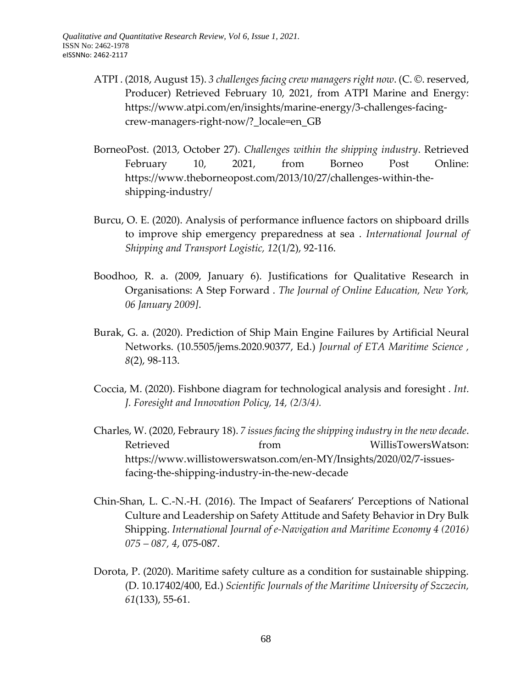- ATPI . (2018, August 15). *3 challenges facing crew managers right now*. (C. ©. reserved, Producer) Retrieved February 10, 2021, from ATPI Marine and Energy: [https://www.atpi.com/en/insights/marine-energy/3-challenges-facing](https://www.atpi.com/en/insights/marine-energy/3-challenges-facing-crew-managers-right-now/?_locale=en_GB)[crew-managers-right-now/?\\_locale=en\\_GB](https://www.atpi.com/en/insights/marine-energy/3-challenges-facing-crew-managers-right-now/?_locale=en_GB)
- BorneoPost. (2013, October 27). *Challenges within the shipping industry*. Retrieved February 10, 2021, from Borneo Post Online: https://www.theborneopost.com/2013/10/27/challenges-within-theshipping-industry/
- Burcu, O. E. (2020). Analysis of performance influence factors on shipboard drills to improve ship emergency preparedness at sea . *International Journal of Shipping and Transport Logistic, 12*(1/2), 92-116.
- Boodhoo, R. a. (2009, January 6). Justifications for Qualitative Research in Organisations: A Step Forward . *The Journal of Online Education, New York, 06 January 2009]*.
- Burak, G. a. (2020). Prediction of Ship Main Engine Failures by Artificial Neural Networks. (10.5505/jems.2020.90377, Ed.) *Journal of ETA Maritime Science , 8*(2), 98-113.
- Coccia, M. (2020). Fishbone diagram for technological analysis and foresight . *Int. J. Foresight and Innovation Policy, 14, (2/3/4).*
- Charles, W. (2020, Febraury 18). *7 issues facing the shipping industry in the new decade*. Retrieved from from WillisTowersWatson: https://www.willistowerswatson.com/en-MY/Insights/2020/02/7-issuesfacing-the-shipping-industry-in-the-new-decade
- Chin-Shan, L. C.-N.-H. (2016). The Impact of Seafarers' Perceptions of National Culture and Leadership on Safety Attitude and Safety Behavior in Dry Bulk Shipping. *International Journal of e-Navigation and Maritime Economy 4 (2016) 075 – 087, 4*, 075-087.
- Dorota, P. (2020). Maritime safety culture as a condition for sustainable shipping. (D. 10.17402/400, Ed.) *Scientific Journals of the Maritime University of Szczecin, 61*(133), 55-61.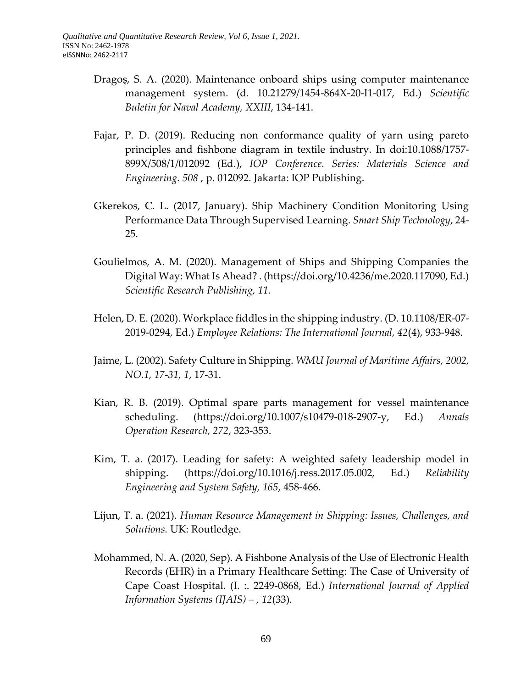- Dragoș, S. A. (2020). Maintenance onboard ships using computer maintenance management system. (d. 10.21279/1454-864X-20-I1-017, Ed.) *Scientific Buletin for Naval Academy, XXIII*, 134-141.
- Fajar, P. D. (2019). Reducing non conformance quality of yarn using pareto principles and fishbone diagram in textile industry. In doi:10.1088/1757- 899X/508/1/012092 (Ed.), *IOP Conference. Series: Materials Science and Engineering. 508* , p. 012092. Jakarta: IOP Publishing.
- Gkerekos, C. L. (2017, January). Ship Machinery Condition Monitoring Using Performance Data Through Supervised Learning. *Smart Ship Technology*, 24- 25.
- Goulielmos, A. M. (2020). Management of Ships and Shipping Companies the Digital Way: What Is Ahead? . (https://doi.org/10.4236/me.2020.117090, Ed.) *Scientific Research Publishing, 11*.
- Helen, D. E. (2020). Workplace fiddles in the shipping industry. (D. 10.1108/ER-07- 2019-0294, Ed.) *Employee Relations: The International Journal, 42*(4), 933-948.
- Jaime, L. (2002). Safety Culture in Shipping. *WMU Journal of Maritime Affairs, 2002, NO.1, 17-31, 1*, 17-31.
- Kian, R. B. (2019). Optimal spare parts management for vessel maintenance scheduling. (https://doi.org/10.1007/s10479-018-2907-y, Ed.) *Annals Operation Research, 272*, 323-353.
- Kim, T. a. (2017). Leading for safety: A weighted safety leadership model in shipping. (https://doi.org/10.1016/j.ress.2017.05.002, Ed.) *Reliability Engineering and System Safety, 165*, 458-466.
- Lijun, T. a. (2021). *Human Resource Management in Shipping: Issues, Challenges, and Solutions.* UK: Routledge.
- Mohammed, N. A. (2020, Sep). A Fishbone Analysis of the Use of Electronic Health Records (EHR) in a Primary Healthcare Setting: The Case of University of Cape Coast Hospital. (I. :. 2249-0868, Ed.) *International Journal of Applied Information Systems (IJAIS) – , 12*(33).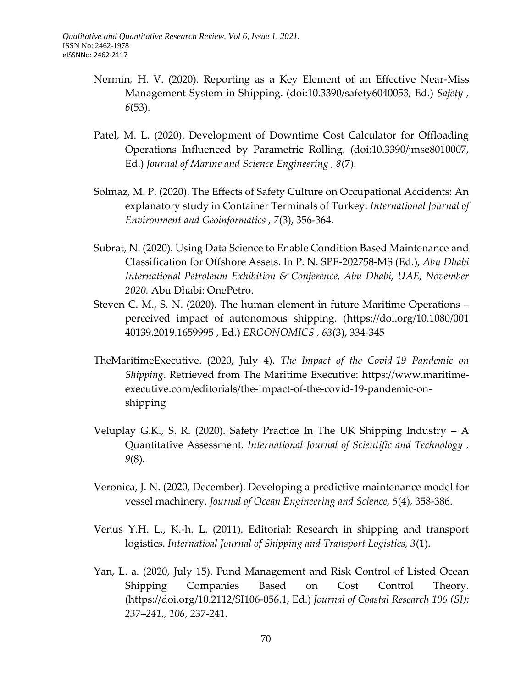- Nermin, H. V. (2020). Reporting as a Key Element of an Effective Near-Miss Management System in Shipping. (doi:10.3390/safety6040053, Ed.) *Safety , 6*(53).
- Patel, M. L. (2020). Development of Downtime Cost Calculator for Offloading Operations Influenced by Parametric Rolling. (doi:10.3390/jmse8010007, Ed.) *Journal of Marine and Science Engineering , 8*(7).
- Solmaz, M. P. (2020). The Effects of Safety Culture on Occupational Accidents: An explanatory study in Container Terminals of Turkey. *International Journal of Environment and Geoinformatics , 7*(3), 356-364.
- Subrat, N. (2020). Using Data Science to Enable Condition Based Maintenance and Classification for Offshore Assets. In P. N. SPE-202758-MS (Ed.), *Abu Dhabi International Petroleum Exhibition & Conference, Abu Dhabi, UAE, November 2020.* Abu Dhabi: OnePetro.
- Steven C. M., S. N. (2020). The human element in future Maritime Operations perceived impact of autonomous shipping. [\(https://doi.org/10.1080/001](https://doi.org/10.1080/001) 40139.2019.1659995 , Ed.) *ERGONOMICS , 63*(3), 334-345
- TheMaritimeExecutive. (2020, July 4). *The Impact of the Covid-19 Pandemic on Shipping*. Retrieved from The Maritime Executive: https://www.maritimeexecutive.com/editorials/the-impact-of-the-covid-19-pandemic-onshipping
- Veluplay G.K., S. R. (2020). Safety Practice In The UK Shipping Industry A Quantitative Assessment. *International Journal of Scientific and Technology , 9*(8).
- Veronica, J. N. (2020, December). Developing a predictive maintenance model for vessel machinery. *Journal of Ocean Engineering and Science, 5*(4), 358-386.
- Venus Y.H. L., K.-h. L. (2011). Editorial: Research in shipping and transport logistics. *Internatioal Journal of Shipping and Transport Logistics, 3*(1).
- Yan, L. a. (2020, July 15). Fund Management and Risk Control of Listed Ocean Shipping Companies Based on Cost Control Theory. (https://doi.org/10.2112/SI106-056.1, Ed.) *Journal of Coastal Research 106 (SI): 237–241., 106*, 237-241.